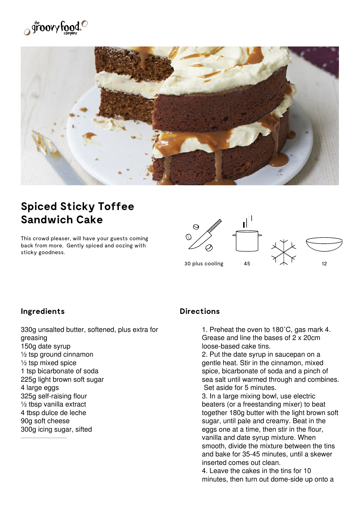



## **Spiced Sticky Toffee Sandwich Cake**

This crowd pleaser, will have your guests coming back from more. Gently spiced and oozing with sticky goodness.



## **Ingredients**

330g unsalted butter, softened, plus extra for greasing 150g date syrup ½ tsp ground cinnamon  $\frac{1}{2}$  tsp mixed spice 1 tsp bicarbonate of soda 225g light brown soft sugar 4 large eggs 325g self-raising flour ½ tbsp vanilla extract 4 tbsp dulce de leche 90g soft cheese 300g icing sugar, sifted

## **Directions**

1. Preheat the oven to 180˚C, gas mark 4. Grease and line the bases of 2 x 20cm loose-based cake tins.

2. Put the date syrup in saucepan on a gentle heat. Stir in the cinnamon, mixed spice, bicarbonate of soda and a pinch of sea salt until warmed through and combines. Set aside for 5 minutes.

3. In a large mixing bowl, use electric beaters (or a freestanding mixer) to beat together 180g butter with the light brown soft sugar, until pale and creamy. Beat in the eggs one at a time, then stir in the flour, vanilla and date syrup mixture. When smooth, divide the mixture between the tins and bake for 35-45 minutes, until a skewer inserted comes out clean.

4. Leave the cakes in the tins for 10 minutes, then turn out dome-side up onto a